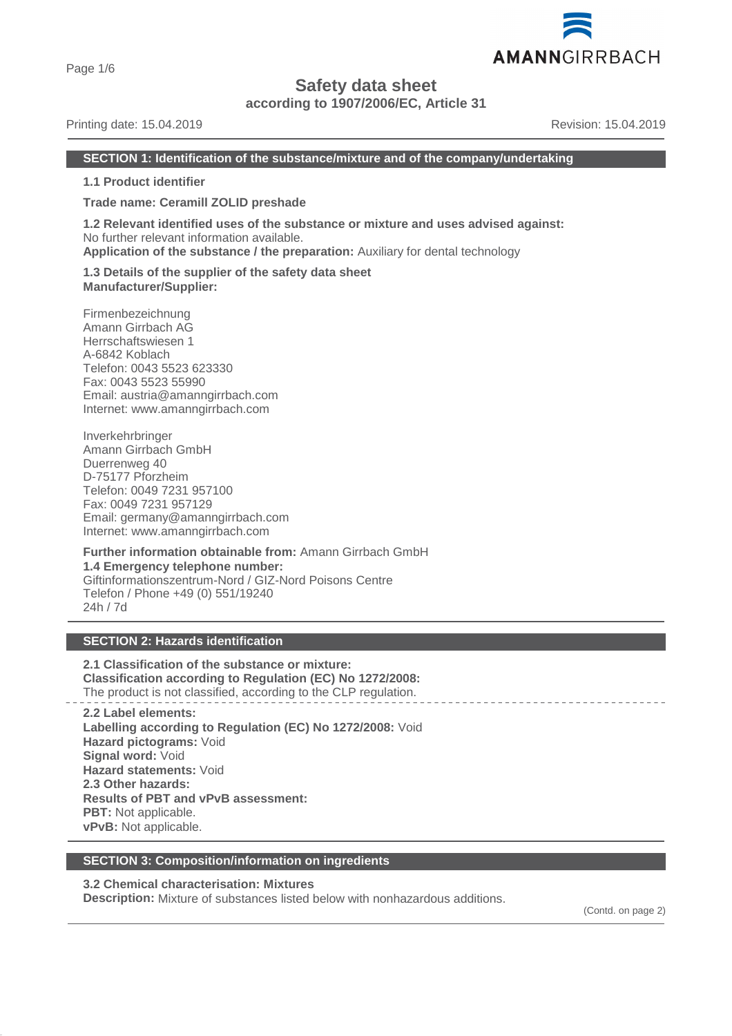Page 1/6

# **Safety data sheet**

**according to 1907/2006/EC, Article 31**

## Printing date: 15.04.2019 **Revision: 15.04.2019** Revision: 15.04.2019

AMANNGIRRBACH

#### **SECTION 1: Identification of the substance/mixture and of the company/undertaking**

**1.1 Product identifier**

**Trade name: Ceramill ZOLID preshade**

**1.2 Relevant identified uses of the substance or mixture and uses advised against:** No further relevant information available.

**Application of the substance / the preparation:** Auxiliary for dental technology

**1.3 Details of the supplier of the safety data sheet Manufacturer/Supplier:**

Firmenbezeichnung Amann Girrbach AG Herrschaftswiesen 1 A-6842 Koblach Telefon: 0043 5523 623330 Fax: 0043 5523 55990 Email: austria@amanngirrbach.com Internet: www.amanngirrbach.com

Inverkehrbringer Amann Girrbach GmbH Duerrenweg 40 D-75177 Pforzheim Telefon: 0049 7231 957100 Fax: 0049 7231 957129 Email: germany@amanngirrbach.com Internet: www.amanngirrbach.com

**Further information obtainable from:** Amann Girrbach GmbH **1.4 Emergency telephone number:** Giftinformationszentrum-Nord / GIZ-Nord Poisons Centre Telefon / Phone +49 (0) 551/19240 24h / 7d

# **SECTION 2: Hazards identification**

**2.1 Classification of the substance or mixture: Classification according to Regulation (EC) No 1272/2008:** The product is not classified, according to the CLP regulation.

**2.2 Label elements: Labelling according to Regulation (EC) No 1272/2008:** Void **Hazard pictograms:** Void **Signal word:** Void **Hazard statements:** Void **2.3 Other hazards: Results of PBT and vPvB assessment: PBT:** Not applicable. **vPvB:** Not applicable.

#### **SECTION 3: Composition/information on ingredients**

**3.2 Chemical characterisation: Mixtures**

**Description:** Mixture of substances listed below with nonhazardous additions.

(Contd. on page 2)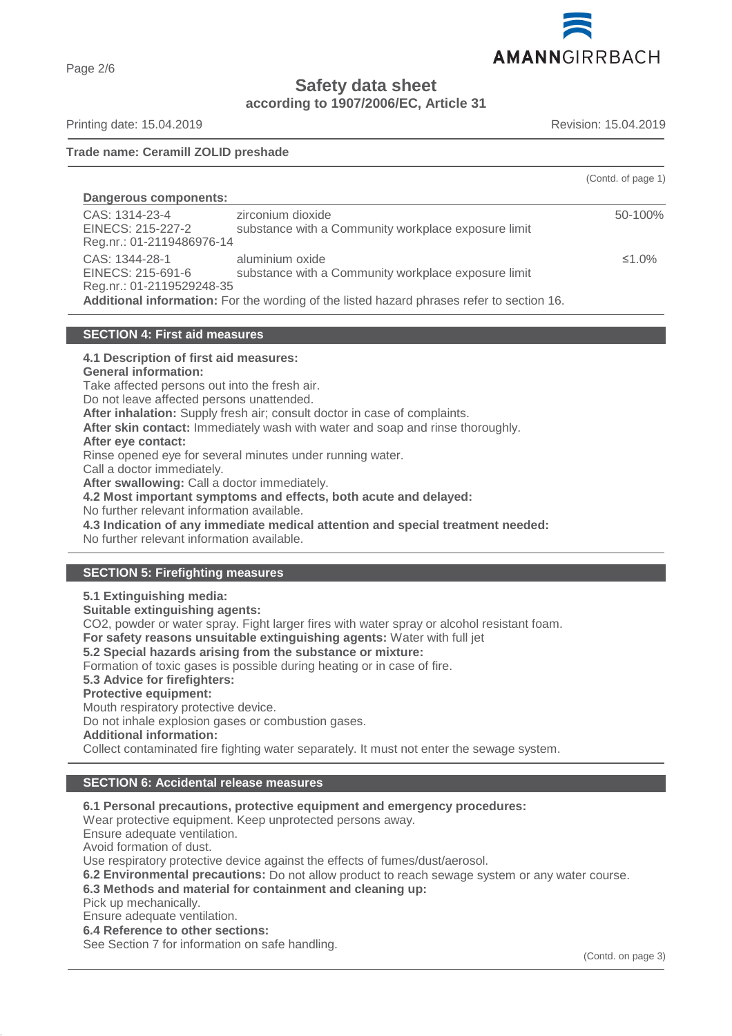

**Safety data sheet**

**according to 1907/2006/EC, Article 31**

Printing date: 15.04.2019 Revision: 15.04.2019

Page 2/6

#### **Trade name: Ceramill ZOLID preshade**

|                                                                  |                                                                                                                                                                     | (Contd. of page 1) |
|------------------------------------------------------------------|---------------------------------------------------------------------------------------------------------------------------------------------------------------------|--------------------|
| Dangerous components:                                            |                                                                                                                                                                     |                    |
| CAS: 1314-23-4<br>EINECS: 215-227-2<br>Reg.nr.: 01-2119486976-14 | zirconium dioxide<br>substance with a Community workplace exposure limit                                                                                            | 50-100%            |
| CAS: 1344-28-1<br>EINECS: 215-691-6<br>Reg.nr.: 01-2119529248-35 | aluminium oxide<br>substance with a Community workplace exposure limit<br>Additional information: For the wording of the listed hazard phrases refer to section 16. | ≤1.0%              |

#### **SECTION 4: First aid measures**

**4.1 Description of first aid measures:**

**General information:**

Take affected persons out into the fresh air.

Do not leave affected persons unattended.

**After inhalation:** Supply fresh air; consult doctor in case of complaints.

**After skin contact:** Immediately wash with water and soap and rinse thoroughly.

#### **After eye contact:**

Rinse opened eye for several minutes under running water.

Call a doctor immediately.

**After swallowing:** Call a doctor immediately.

**4.2 Most important symptoms and effects, both acute and delayed:**

No further relevant information available.

**4.3 Indication of any immediate medical attention and special treatment needed:**

No further relevant information available.

## **SECTION 5: Firefighting measures**

**5.1 Extinguishing media: Suitable extinguishing agents:** CO2, powder or water spray. Fight larger fires with water spray or alcohol resistant foam. **For safety reasons unsuitable extinguishing agents:** Water with full jet **5.2 Special hazards arising from the substance or mixture:** Formation of toxic gases is possible during heating or in case of fire. **5.3 Advice for firefighters: Protective equipment:** Mouth respiratory protective device. Do not inhale explosion gases or combustion gases. **Additional information:** Collect contaminated fire fighting water separately. It must not enter the sewage system.

# **SECTION 6: Accidental release measures**

**6.1 Personal precautions, protective equipment and emergency procedures:**

Wear protective equipment. Keep unprotected persons away.

Ensure adequate ventilation.

Avoid formation of dust.

Use respiratory protective device against the effects of fumes/dust/aerosol.

**6.2 Environmental precautions:** Do not allow product to reach sewage system or any water course.

**6.3 Methods and material for containment and cleaning up:**

Pick up mechanically.

Ensure adequate ventilation. **6.4 Reference to other sections:**

See Section 7 for information on safe handling.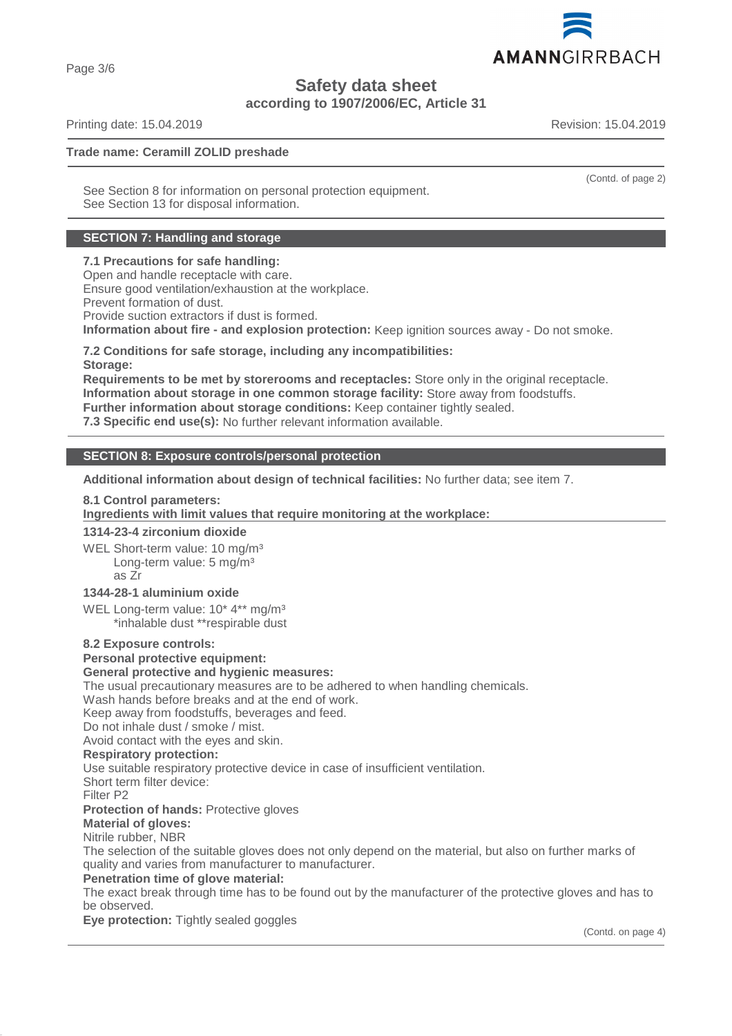

**Safety data sheet according to 1907/2006/EC, Article 31**

Printing date: 15.04.2019 Revision: 15.04.2019

## **Trade name: Ceramill ZOLID preshade**

See Section 8 for information on personal protection equipment. See Section 13 for disposal information.

# **SECTION 7: Handling and storage**

#### **7.1 Precautions for safe handling:**

Open and handle receptacle with care. Ensure good ventilation/exhaustion at the workplace. Prevent formation of dust. Provide suction extractors if dust is formed.

**Information about fire - and explosion protection:** Keep ignition sources away - Do not smoke.

**7.2 Conditions for safe storage, including any incompatibilities: Storage:**

**Requirements to be met by storerooms and receptacles:** Store only in the original receptacle. **Information about storage in one common storage facility:** Store away from foodstuffs. **Further information about storage conditions:** Keep container tightly sealed.

**7.3 Specific end use(s):** No further relevant information available.

## **SECTION 8: Exposure controls/personal protection**

**Additional information about design of technical facilities:** No further data; see item 7.

#### **8.1 Control parameters:**

**Ingredients with limit values that require monitoring at the workplace:** 

# **1314-23-4 zirconium dioxide**

WEL Short-term value: 10 mg/m<sup>3</sup> Long-term value: 5 mg/m<sup>3</sup> as Zr

# **1344-28-1 aluminium oxide**

WEL Long-term value: 10<sup>\*</sup> 4<sup>\*\*</sup> mg/m<sup>3</sup> \*inhalable dust \*\*respirable dust

#### **8.2 Exposure controls:**

# **Personal protective equipment:**

# **General protective and hygienic measures:**

The usual precautionary measures are to be adhered to when handling chemicals.

Wash hands before breaks and at the end of work.

Keep away from foodstuffs, beverages and feed.

Do not inhale dust / smoke / mist.

Avoid contact with the eyes and skin.

## **Respiratory protection:**

Use suitable respiratory protective device in case of insufficient ventilation.

Short term filter device:

Filter P2

**Protection of hands:** Protective gloves

**Material of gloves:**

Nitrile rubber, NBR

The selection of the suitable gloves does not only depend on the material, but also on further marks of quality and varies from manufacturer to manufacturer.

#### **Penetration time of glove material:**

The exact break through time has to be found out by the manufacturer of the protective gloves and has to be observed.

**Eye protection:** Tightly sealed goggles

(Contd. on page 4)

(Contd. of page 2)

Page 3/6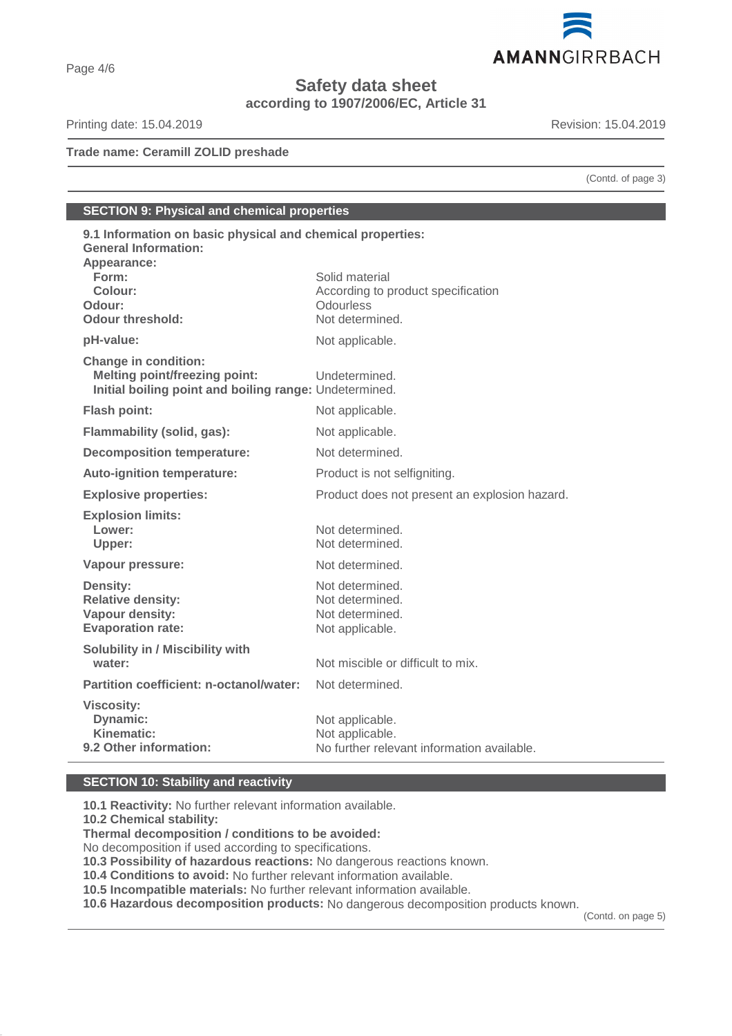

**Safety data sheet**

**according to 1907/2006/EC, Article 31**

Printing date: 15.04.2019 **Revision: 15.04.2019** Revision: 15.04.2019

**Trade name: Ceramill ZOLID preshade**

(Contd. of page 3)

# **SECTION 9: Physical and chemical properties**

| 9.1 Information on basic physical and chemical properties:<br><b>General Information:</b>                                     |                                                                                      |
|-------------------------------------------------------------------------------------------------------------------------------|--------------------------------------------------------------------------------------|
| Appearance:<br>Form:<br>Colour:<br>Odour:<br>Odour threshold:                                                                 | Solid material<br>According to product specification<br>Odourless<br>Not determined. |
| pH-value:                                                                                                                     | Not applicable.                                                                      |
| <b>Change in condition:</b><br><b>Melting point/freezing point:</b><br>Initial boiling point and boiling range: Undetermined. | Undetermined.                                                                        |
| <b>Flash point:</b>                                                                                                           | Not applicable.                                                                      |
| Flammability (solid, gas):                                                                                                    | Not applicable.                                                                      |
| <b>Decomposition temperature:</b>                                                                                             | Not determined.                                                                      |
| <b>Auto-ignition temperature:</b>                                                                                             | Product is not selfigniting.                                                         |
| <b>Explosive properties:</b>                                                                                                  | Product does not present an explosion hazard.                                        |
| <b>Explosion limits:</b><br>Lower:<br>Upper:                                                                                  | Not determined.<br>Not determined.                                                   |
| Vapour pressure:                                                                                                              | Not determined.                                                                      |
| <b>Density:</b><br><b>Relative density:</b><br>Vapour density:<br><b>Evaporation rate:</b>                                    | Not determined.<br>Not determined.<br>Not determined.<br>Not applicable.             |
| Solubility in / Miscibility with<br>water:                                                                                    | Not miscible or difficult to mix.                                                    |
| Partition coefficient: n-octanol/water:                                                                                       | Not determined.                                                                      |
| <b>Viscosity:</b><br><b>Dynamic:</b><br>Kinematic:<br>9.2 Other information:                                                  | Not applicable.<br>Not applicable.<br>No further relevant information available.     |

# **SECTION 10: Stability and reactivity**

**10.1 Reactivity:** No further relevant information available.

**10.2 Chemical stability:**

**Thermal decomposition / conditions to be avoided:**

No decomposition if used according to specifications.

**10.3 Possibility of hazardous reactions:** No dangerous reactions known.

**10.4 Conditions to avoid:** No further relevant information available.

**10.5 Incompatible materials:** No further relevant information available.

**10.6 Hazardous decomposition products:** No dangerous decomposition products known.

(Contd. on page 5)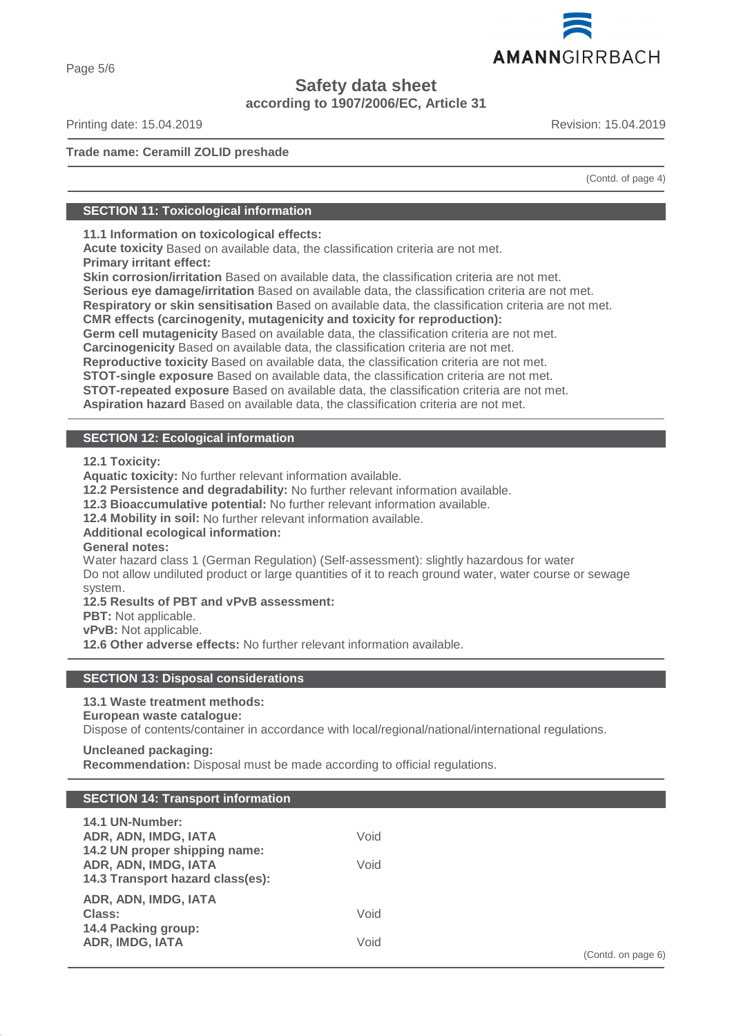# **Safety data sheet**

**according to 1907/2006/EC, Article 31**

Printing date: 15.04.2019 Revision: 15.04.2019

#### **Trade name: Ceramill ZOLID preshade**

**AMANNGIRRBACH** 

(Contd. of page 4)

# **SECTION 11: Toxicological information**

**11.1 Information on toxicological effects:**

**Acute toxicity** Based on available data, the classification criteria are not met. **Primary irritant effect:**

**Skin corrosion/irritation** Based on available data, the classification criteria are not met.

**Serious eye damage/irritation** Based on available data, the classification criteria are not met.

**Respiratory or skin sensitisation** Based on available data, the classification criteria are not met.

**CMR effects (carcinogenity, mutagenicity and toxicity for reproduction):**

**Germ cell mutagenicity** Based on available data, the classification criteria are not met.

**Carcinogenicity** Based on available data, the classification criteria are not met.

**Reproductive toxicity** Based on available data, the classification criteria are not met.

**STOT-single exposure** Based on available data, the classification criteria are not met.

**STOT-repeated exposure** Based on available data, the classification criteria are not met.

**Aspiration hazard** Based on available data, the classification criteria are not met.

## **SECTION 12: Ecological information**

**12.1 Toxicity:**

**Aquatic toxicity:** No further relevant information available.

**12.2 Persistence and degradability:** No further relevant information available.

**12.3 Bioaccumulative potential:** No further relevant information available.

**12.4 Mobility in soil:** No further relevant information available.

# **Additional ecological information:**

**General notes:**

Water hazard class 1 (German Regulation) (Self-assessment): slightly hazardous for water Do not allow undiluted product or large quantities of it to reach ground water, water course or sewage system.

# **12.5 Results of PBT and vPvB assessment:**

**PBT:** Not applicable.

**vPvB:** Not applicable.

**12.6 Other adverse effects:** No further relevant information available.

#### **SECTION 13: Disposal considerations**

# **13.1 Waste treatment methods:**

#### **European waste catalogue:**

Dispose of contents/container in accordance with local/regional/national/international regulations.

**Uncleaned packaging:**

**Recommendation:** Disposal must be made according to official regulations.

#### **SECTION 14: Transport information**

| 14.1 UN-Number:                  |      |
|----------------------------------|------|
| ADR, ADN, IMDG, IATA             | Void |
| 14.2 UN proper shipping name:    |      |
| ADR, ADN, IMDG, IATA             | Void |
| 14.3 Transport hazard class(es): |      |
| ADR, ADN, IMDG, IATA             |      |
|                                  |      |
| Class:                           | Void |
| 14.4 Packing group:              |      |
| <b>ADR, IMDG, IATA</b>           | Void |

(Contd. on page 6)